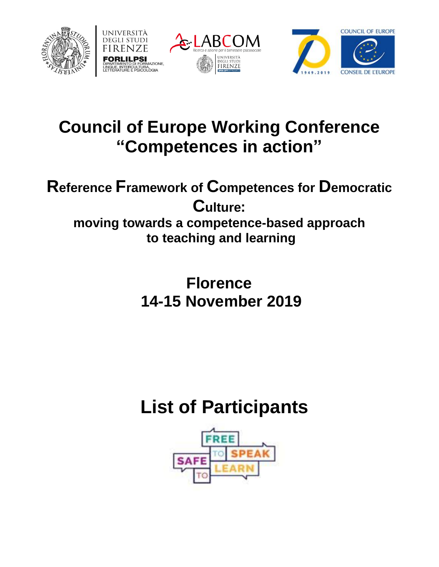







# **Council of Europe Working Conference "Competences in action"**

### **Reference Framework of Competences for Democratic Culture: moving towards a competence-based approach to teaching and learning**

**Florence 14-15 November 2019**

# **List of Participants**

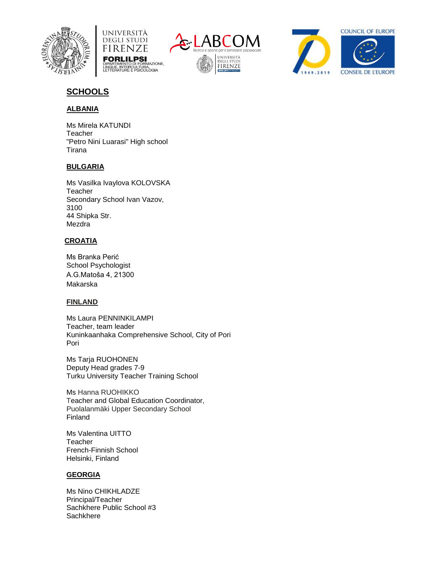







## **SCHOOLS**

#### **ALBANIA**

Ms Mirela KATUNDI **Teacher** "Petro Nini Luarasi" High school Tirana

#### **BULGARIA**

Ms Vasilka Ivaylova KOLOVSKA Teacher Secondary School Ivan Vazov, 3100 44 Shipka Str. **Mezdra** 

#### **CROATIA**

Ms Branka Perić School Psychologist A.G.Matoša 4, 21300 Makarska

#### **FINLAND**

Ms Laura PENNINKILAMPI Teacher, team leader Kuninkaanhaka Comprehensive School, City of Pori Pori

Ms Tarja RUOHONEN Deputy Head grades 7-9 Turku University Teacher Training School

Ms Hanna RUOHIKKO Teacher and Global Education Coordinator, Puolalanmäki Upper Secondary School Finland

Ms Valentina UITTO **Teacher** French-Finnish School Helsinki, Finland

#### **GEORGIA**

Ms Nino CHIKHLADZE Principal/Teacher Sachkhere Public School #3 **Sachkhere**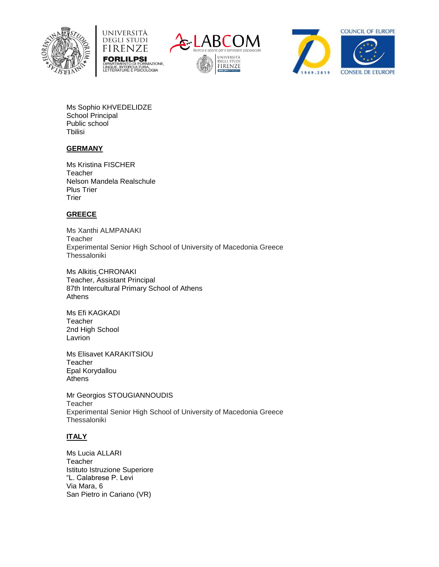







Ms Sophio KHVEDELIDZE School Principal Public school **T**bilisi

#### **GERMANY**

Ms Kristina FISCHER **Teacher** Nelson Mandela Realschule Plus Trier **Trier** 

#### **GREECE**

Ms Xanthi ALMPANAKI Teacher Experimental Senior High School of University of Macedonia Greece **Thessaloniki** 

Ms Alkitis CHRONAKI Teacher, Assistant Principal 87th Intercultural Primary School of Athens Athens

Ms Efi KAGKADI Teacher 2nd High School Lavrion

Ms Elisavet KARAKITSIOU **Teacher** Epal Korydallou **Athens** 

Mr Georgios STOUGIANNOUDIS **Teacher** Experimental Senior High School of University of Macedonia Greece **Thessaloniki** 

#### **ITALY**

Ms Lucia ALLARI **Teacher** Istituto Istruzione Superiore "L. Calabrese P. Levi Via Mara, 6 San Pietro in Cariano (VR)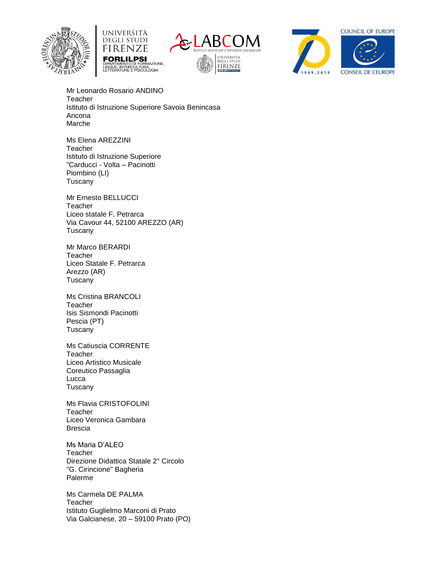







Mr Leonardo Rosario ANDINO **Teacher** Istituto di Istruzione Superiore Savoia Benincasa Ancona Marche

Ms Elena AREZZINI **Teacher** Istituto di Istruzione Superiore "Carducci - Volta – Pacinotti Piombino (LI) **Tuscany** 

Mr Ernesto BELLUCCI **Teacher** Liceo statale F. Petrarca Via Cavour 44, 52100 AREZZO (AR) Tuscany

Mr Marco BERARDI **Teacher** Liceo Statale F. Petrarca Arezzo (AR) **Tuscany** 

Ms Cristina BRANCOLI **Teacher** Isis Sismondi Pacinotti Pescia (PT) **Tuscany** 

Ms Catiuscia CORRENTE Teacher Liceo Artistico Musicale Coreutico Passaglia Lucca Tuscany

Ms Flavia CRISTOFOLINI Teacher Liceo Veronica Gambara Brescia

Ms Maria D'ALEO **Teacher** Direzione Didattica Statale 2° Circolo "G. Cirincione" Bagheria Palerme

Ms Carmela DE PALMA **Teacher** Istituto Guglielmo Marconi di Prato Via Galcianese, 20 – 59100 Prato (PO)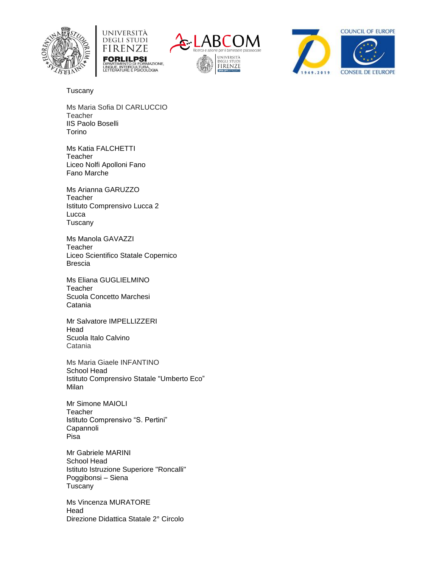







Tuscany

Ms Maria Sofia DI CARLUCCIO **Teacher** IIS Paolo Boselli Torino

Ms Katia FALCHETTI **Teacher** Liceo Nolfi Apolloni Fano Fano Marche

Ms Arianna GARUZZO **Teacher** Istituto Comprensivo Lucca 2 Lucca Tuscany

Ms Manola GAVAZZI **Teacher** Liceo Scientifico Statale Copernico Brescia

Ms Eliana GUGLIELMINO **Teacher** Scuola Concetto Marchesi Catania

Mr Salvatore IMPELLIZZERI Head Scuola Italo Calvino Catania

Ms Maria Giaele INFANTINO School Head Istituto Comprensivo Statale "Umberto Eco" Milan

Mr Simone MAIOLI Teacher Istituto Comprensivo "S. Pertini" Capannoli Pisa

Mr Gabriele MARINI School Head Istituto Istruzione Superiore "Roncalli" Poggibonsi – Siena Tuscany

Ms Vincenza MURATORE Head Direzione Didattica Statale 2° Circolo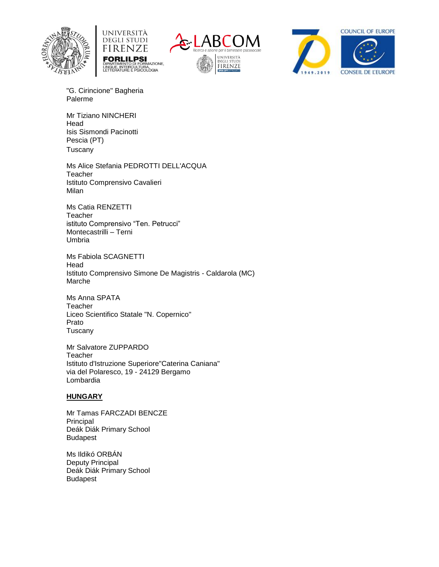







"G. Cirincione" Bagheria Palerme

Mr Tiziano NINCHERI Head Isis Sismondi Pacinotti Pescia (PT) Tuscany

Ms Alice Stefania PEDROTTI DELL'ACQUA **Teacher** Istituto Comprensivo Cavalieri Milan

Ms Catia RENZETTI Teacher istituto Comprensivo "Ten. Petrucci" Montecastrilli – Terni Umbria

Ms Fabiola SCAGNETTI Head Istituto Comprensivo Simone De Magistris - Caldarola (MC) Marche

Ms Anna SPATA **Teacher** Liceo Scientifico Statale "N. Copernico" Prato Tuscany

Mr Salvatore ZUPPARDO **Teacher** Istituto d'Istruzione Superiore"Caterina Caniana" via del Polaresco, 19 - 24129 Bergamo Lombardia

#### **HUNGARY**

Mr Tamas FARCZADI BENCZE Principal Deák Diák Primary School Budapest

Ms Ildikó ORBÁN Deputy Principal Deák Diák Primary School Budapest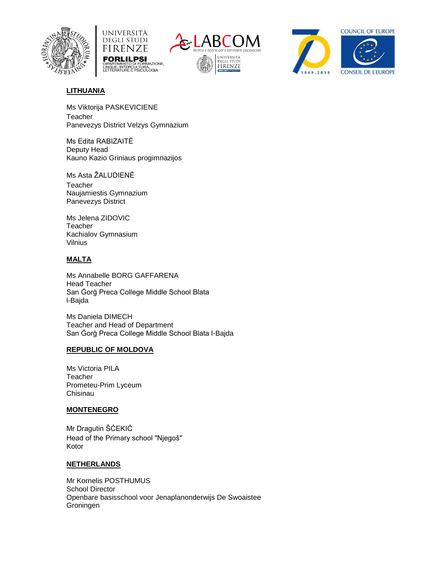







#### **LITHUANIA**

Ms Viktorija PASKEVICIENE **Teacher** Panevezys District Velzys Gymnazium

Ms Edita RABIZAITĖ Deputy Head Kauno Kazio Griniaus progimnazijos

Ms Asta ŽALUDIENĖ **Teacher** Naujamiestis Gymnazium Panevezys District

Ms Jelena ZIDOVIC **Teacher** Kachialov Gymnasium Vilnius

#### **MALTA**

Ms Annabelle BORG GAFFARENA Head Teacher San Ġorġ Preca College Middle School Blata l-Bajda

Ms Daniela DIMECH Teacher and Head of Department San Ġorġ Preca College Middle School Blata l-Bajda

#### **REPUBLIC OF MOLDOVA**

Ms Victoria PILA **Teacher** Prometeu-Prim Lyceum Chisinau

#### **MONTENEGRO**

Mr Dragutin ŠĆEKIĆ Head of the Primary school "Njegoš" Kotor

#### **NETHERLANDS**

Mr Kornelis POSTHUMUS School Director Openbare basisschool voor Jenaplanonderwijs De Swoaistee Groningen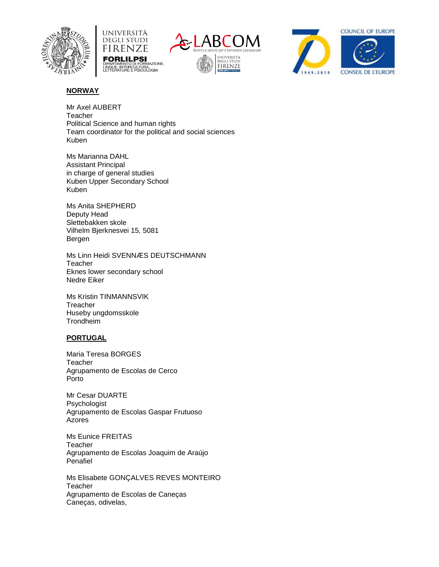







#### **NORWAY**

Mr Axel AUBERT **Teacher** Political Science and human rights Team coordinator for the political and social sciences Kuben

Ms Marianna DAHL Assistant Principal in charge of general studies Kuben Upper Secondary School Kuben

Ms Anita SHEPHERD Deputy Head Slettebakken skole Vilhelm Bjerknesvei 15, 5081 Bergen

Ms Linn Heidi SVENNÆS DEUTSCHMANN **Teacher** Eknes lower secondary school Nedre Eiker

Ms Kristin TINMANNSVIK **Treacher** Huseby ungdomsskole Trondheim

#### **PORTUGAL**

Maria Teresa BORGES **Teacher** Agrupamento de Escolas de Cerco Porto

Mr Cesar DUARTE Psychologist Agrupamento de Escolas Gaspar Frutuoso Azores

Ms Eunice FREITAS **Teacher** Agrupamento de Escolas Joaquim de Araújo Penafiel

Ms Elisabete GONÇALVES REVES MONTEIRO **Teacher** Agrupamento de Escolas de Caneças Caneças, odivelas,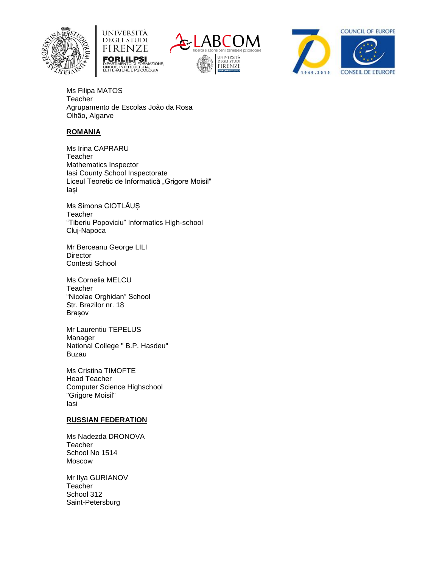







Ms Filipa MATOS **Teacher** Agrupamento de Escolas João da Rosa Olhão, Algarve

#### **ROMANIA**

Ms Irina CAPRARU **Teacher** Mathematics Inspector Iasi County School Inspectorate Liceul Teoretic de Informatică "Grigore Moisil" Iași

Ms Simona CIOTLĂUȘ **Teacher** "Tiberiu Popoviciu" Informatics High-school Cluj-Napoca

Mr Berceanu George LILI **Director** Contesti School

Ms Cornelia MELCU **Teacher** "Nicolae Orghidan" School Str. Brazilor nr. 18 Brașov

Mr Laurentiu TEPELUS Manager National College " B.P. Hasdeu" Buzau

Ms Cristina TIMOFTE Head Teacher Computer Science Highschool "Grigore Moisil" Iasi

#### **RUSSIAN FEDERATION**

Ms Nadezda DRONOVA **Teacher** School No 1514 Moscow

Mr Ilya GURIANOV **Teacher** School 312 Saint-Petersburg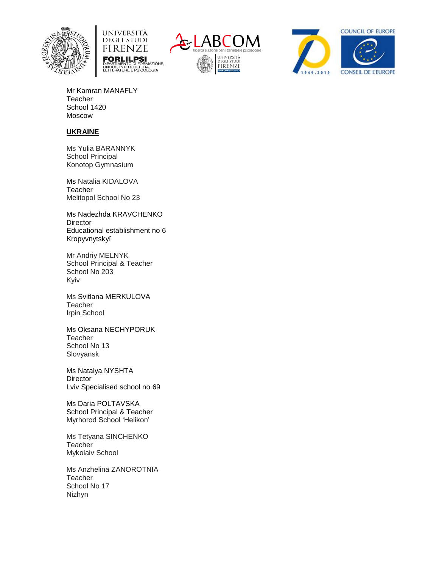







Mr Kamran MANAFLY **Teacher** School 1420 Moscow

#### **UKRAINE**

Ms Yulia BARANNYK School Principal Konotop Gymnasium

Ms Natalia KIDALOVA **Teacher** Melitopol School No 23

Ms Nadezhda KRAVCHENKO **Director** Educational establishment no 6 Kropyvnytskyï

Mr Andriy MELNYK School Principal & Teacher School No 203 Kyiv

Ms Svitlana MERKULOVA **Teacher** Irpin School

Ms Oksana NECHYPORUK **Teacher** School No 13 Slovyansk

Ms Natalya NYSHTA **Director** Lviv Specialised school no 69

Ms Daria POLTAVSKA School Principal & Teacher Myrhorod School 'Helikon'

Ms Tetyana SINCHENKO **Teacher** Mykolaiv School

Ms Anzhelina ZANOROTNIA **Teacher** School No 17 Nizhyn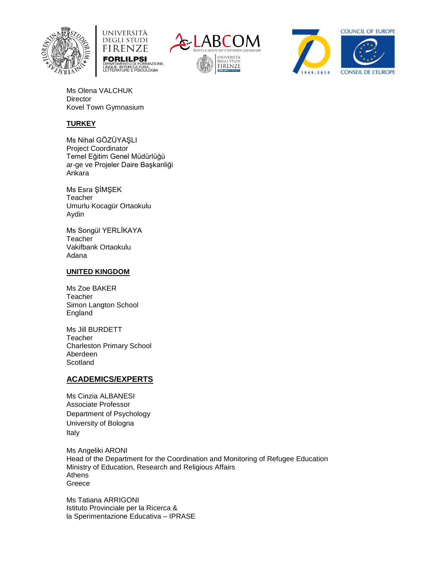







Ms Olena VALCHUK **Director** Kovel Town Gymnasium

#### **TURKEY**

Ms Nihal GÖZÜYAŞLI Project Coordinator Temel Eğitim Genel Müdürlüğü ar-ge ve Projeler Daire Başkanliği Ankara

Ms Esra ŞİMŞEK **Teacher** Umurlu Kocagür Ortaokulu Aydin

Ms Songül YERLİKAYA **Teacher** Vakifbank Ortaokulu Adana

#### **UNITED KINGDOM**

Ms Zoe BAKER **Teacher** Simon Langton School England

Ms Jill BURDETT **Teacher** Charleston Primary School Aberdeen Scotland

#### **ACADEMICS/EXPERTS**

Ms Cinzia ALBANESI Associate Professor Department of Psychology University of Bologna Italy

Ms Angeliki ARONI Head of the Department for the Coordination and Monitoring of Refugee Education Ministry of Education, Research and Religious Affairs Athens Greece

Ms Tatiana ARRIGONI Istituto Provinciale per la Ricerca & la Sperimentazione Educativa – IPRASE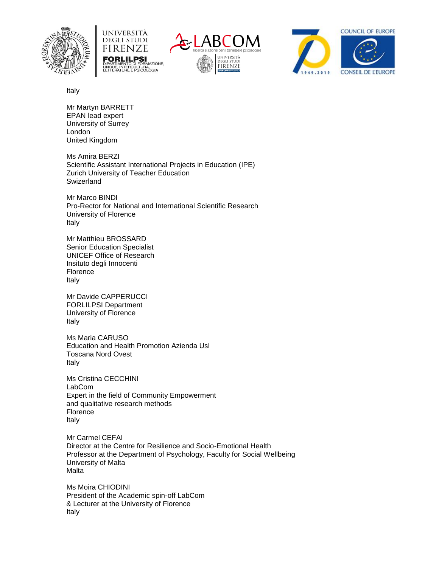







Italy

Mr Martyn BARRETT EPAN lead expert University of Surrey London United Kingdom

Ms Amira BERZI Scientific Assistant International Projects in Education (IPE) Zurich University of Teacher Education **Swizerland** 

Mr Marco BINDI Pro-Rector for National and International Scientific Research University of Florence Italy

Mr Matthieu BROSSARD Senior Education Specialist UNICEF Office of Research Insituto degli Innocenti Florence Italy

Mr Davide CAPPERUCCI FORLILPSI Department University of Florence Italy

Ms Maria CARUSO Education and Health Promotion Azienda Usl Toscana Nord Ovest Italy

Ms Cristina CECCHINI LabCom Expert in the field of Community Empowerment and qualitative research methods Florence Italy

Mr Carmel CEFAI Director at the Centre for Resilience and Socio-Emotional Health Professor at the Department of Psychology, Faculty for Social Wellbeing University of Malta Malta

Ms Moira CHIODINI President of the Academic spin-off LabCom & Lecturer at the University of Florence Italy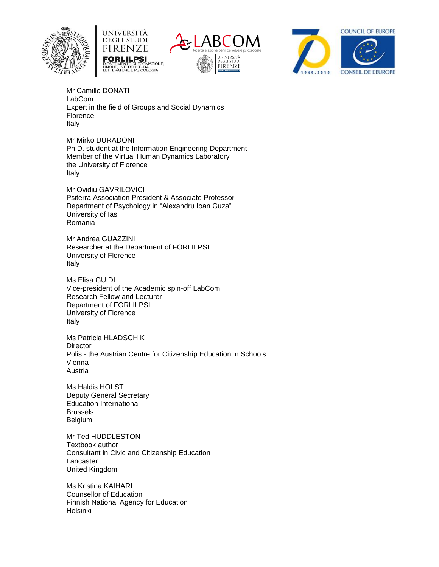







Mr Camillo DONATI LabCom Expert in the field of Groups and Social Dynamics Florence Italy

Mr Mirko DURADONI Ph.D. student at the Information Engineering Department Member of the Virtual Human Dynamics Laboratory the University of Florence Italy

Mr Ovidiu GAVRILOVICI Psiterra Association President & Associate Professor Department of Psychology in "Alexandru Ioan Cuza" University of Iasi Romania

Mr Andrea GUAZZINI Researcher at the Department of FORLILPSI University of Florence Italy

Ms Elisa GUIDI Vice-president of the Academic spin-off LabCom Research Fellow and Lecturer Department of FORLILPSI University of Florence Italy

Ms Patricia HLADSCHIK **Director** Polis - the Austrian Centre for Citizenship Education in Schools Vienna Austria

Ms Haldis HOLST Deputy General Secretary Education International Brussels Belgium

Mr Ted HUDDLESTON Textbook author Consultant in Civic and Citizenship Education Lancaster United Kingdom

Ms Kristina KAIHARI Counsellor of Education Finnish National Agency for Education Helsinki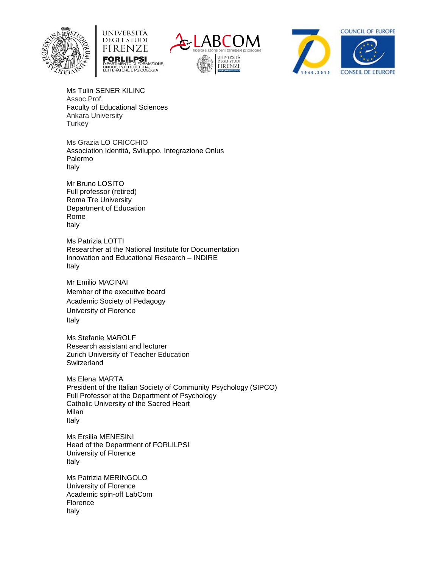







Ms Tulin SENER KILINC Assoc.Prof. Faculty of Educational Sciences Ankara University **Turkey** 

Ms Grazia LO CRICCHIO Association Identità, Sviluppo, Integrazione Onlus Palermo Italy

Mr Bruno LOSITO Full professor (retired) Roma Tre University Department of Education Rome Italy

Ms Patrizia LOTTI Researcher at the National Institute for Documentation Innovation and Educational Research – INDIRE Italy

Mr Emilio MACINAI Member of the executive board Academic Society of Pedagogy University of Florence Italy

Ms Stefanie MAROLF Research assistant and lecturer Zurich University of Teacher Education **Switzerland** 

Ms Elena MARTA President of the Italian Society of Community Psychology (SIPCO) Full Professor at the Department of Psychology Catholic University of the Sacred Heart Milan Italy

Ms Ersilia MENESINI Head of the Department of FORLILPSI University of Florence Italy

Ms Patrizia MERINGOLO University of Florence Academic spin-off LabCom Florence Italy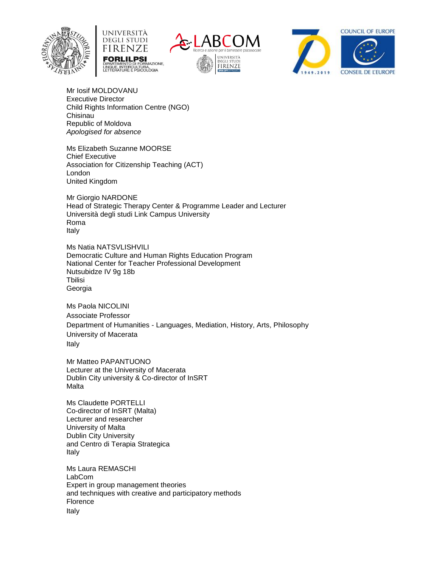







Mr Iosif MOLDOVANU Executive Director Child Rights Information Centre (NGO) Chisinau Republic of Moldova *Apologised for absence*

Ms Elizabeth Suzanne MOORSE Chief Executive Association for Citizenship Teaching (ACT) London United Kingdom

Mr Giorgio NARDONE Head of Strategic Therapy Center & Programme Leader and Lecturer Università degli studi Link Campus University Roma Italy

Ms Natia NATSVLISHVILI Democratic Culture and Human Rights Education Program National Center for Teacher Professional Development Nutsubidze IV 9g 18b **T**bilisi Georgia

Ms Paola NICOLINI Associate Professor Department of Humanities - Languages, Mediation, History, Arts, Philosophy University of Macerata Italy

Mr Matteo PAPANTUONO Lecturer at the University of Macerata Dublin City university & Co-director of InSRT Malta

Ms Claudette PORTELLI Co-director of InSRT (Malta) Lecturer and researcher University of Malta Dublin City University and Centro di Terapia Strategica Italy

Ms Laura REMASCHI LabCom Expert in group management theories and techniques with creative and participatory methods Florence Italy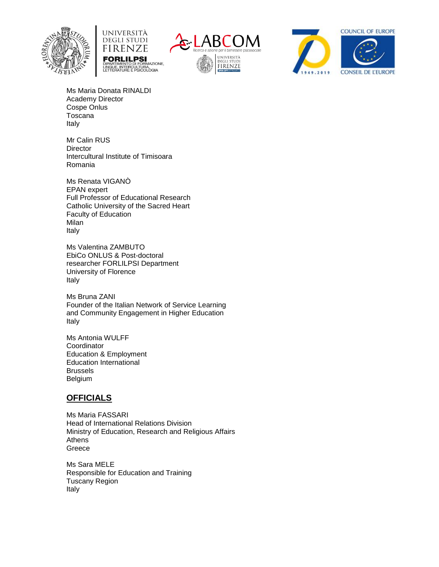







Ms Maria Donata RINALDI Academy Director Cospe Onlus Toscana Italy

Mr Calin RUS **Director** Intercultural Institute of Timisoara Romania

Ms Renata VIGANÒ EPAN expert Full Professor of Educational Research Catholic University of the Sacred Heart Faculty of Education Milan Italy

Ms Valentina ZAMBUTO EbiCo ONLUS & Post-doctoral researcher FORLILPSI Department University of Florence Italy

Ms Bruna ZANI Founder of the Italian Network of Service Learning and Community Engagement in Higher Education Italy

Ms Antonia WULFF **Coordinator** Education & Employment Education International Brussels Belgium

#### **OFFICIALS**

Ms Maria FASSARI Head of International Relations Division Ministry of Education, Research and Religious Affairs Athens Greece

Ms Sara MELE Responsible for Education and Training Tuscany Region Italy